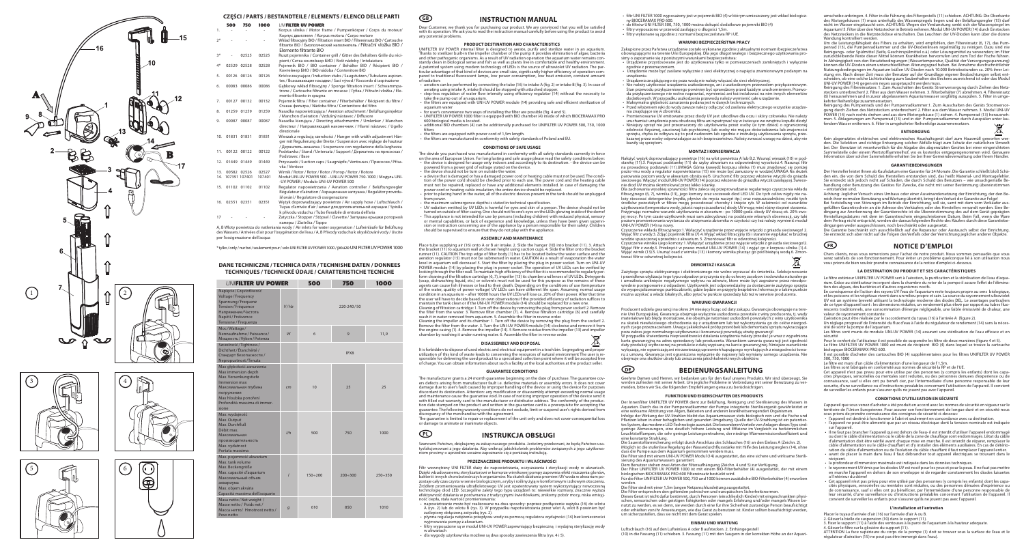









## CZĘŚCI / PARTS / BESTANDTEILE / ELEMENTS / ELENCO DELLE PARTI **GB** INSTRUCTION MANUAL

500 750 1000 *INIEILTER IIV POWER* 

- 1. - Korpus silnika / Motor frame / Pumpenkörper / Corps du moteur/ Корпус двигателя / Korpus motoru / Corpo motore 2\* - - - Wkład filtracyjny BIO / Filtration insert BIO / Filtereinsatz BIO / Cartouche filtrante BIO / Биологический наполнитель / Filtrační vložka BIO / Elemento filtrante BIO 3\* - 02525 02525 Ruszt pojemnika / Container grill / Gitter des Behälters Grille du réci-
- pient / Сетка контейнер БИО / Rošt nádoby / Intelaiatura 4\* 02529 02528 02528 Pojemnik BIO / BIO container / Behälter BIO / Récipient BIO / Контейнер БИО / BIO nádoba / Contenitore BIO
- 5. 00126 00126 00126 Króćce zasysające / Induction stubs / Saugstutzen / Tubulures aspirantes / Всасывающие насадки / Sací vývod / Raccordo di aspirazione
- 6. 00083 00086 00086 Gąbkowy wkład filtracyjny / Sponge filtration insert / Schwammpatrone / Cartouche filtrante en mousse / Губка / Filtrační vložka / Elemento filtrante in spugna
- 7. 00127 00132 00132 Pojemnik filtra / Filter container / Filterbehälter / Récipient du filtre / Стакан фильтра / Nádoba filtru / Contenitore del filtro 8. 01259 01259 01259 Nasadka napowietrzająca / Aeration attachment / Belüftungsinjektor
- / Manchon d'aération / Vzdušný nástavec / Diffusore 9. 00087 00087 00087 Nasadka kierująca / Directing attachmentm / Umlenker / Manchon directeur / Направляющий наконечник / Hlavní nástavec / Ugello direzionale
- 10. 01831 01831 01831 Wieszak z regulacją szerokości / Hanger with width adjustment Hänger mit Regulierung der Breite / Suspension avec réglage de hauteur / Держатель-вешалка / Sospensore con regolazione della larghezza 11. 00122 00122 00122 Podstawka / Stand / Untersatz / Support / Держатель на присосках /
- Podstavec / Base 12. 01449 01449 01449 Przyssawki / Suction caps / Saugnäpfe / Ventouses / Присоски / Přísa-
- vka / Ventose 13. 00582 02526 02527 Wirnik / Rotor / Rotor / Rotor / Ротор / Rotor / Rotore Moduł UNI-UV POWER 500 – UNI-UV POWER 750-1000 / Модуль UNI-
- -UV POWER / Modulo UNI-UV POWER 500 15. 01102 01102 01102 Regulator napowietrzania / Aeration controller / Belüftungsregler
- Régulateur d'aération / Аэрационная заглушка / Regulátor provzdušňování / Regolatore di ossigenazione 16. 02351 02351 02351 Wężyk doprowadzający powietrze / Air supply hose / Luftschlauch /
- Tuyau d'arrivée d'air / шланг для дополнительной аэрации / Spirála k přívodu vzduchu / Tubo flessibile di entrata dell'aria 17 - - - Zatyczka / Stopper / Stöpsel / Clavette / Заглушка крышки роторной камеры / Zástrčka / Tappo

A, B Wloty powietrza do natleniania wody / Air inlets for water oxygenation / Lufteinläufe für Belüftung des Wassers / Arrivées d'air pour l'oxygénation de l'eau / A, B Přívody vzduchu k okysličování vody / Uscite per l'ossigenazione dell'acqua

\* tylko / only / nur bei / seulement pour / solo UNI FILTER UV POWER 1000 / pouze UNI FILTER UV POWER 1000

| <b>UNIFILTER UV POWER</b>                                                                                                                                                                        |                | 500            | 750            | 1000           |
|--------------------------------------------------------------------------------------------------------------------------------------------------------------------------------------------------|----------------|----------------|----------------|----------------|
| Napiecie / Czestotliwość<br>Voltage / Frequency<br>Spannung / Frequenz<br>Tension / Fréquence<br>Напряжение/Частота<br>Napětí / Frekvence<br>Tensione / Frequenza                                | V/Hz           |                | 220-240/50     |                |
| Moc/Wattage/<br>Nennaufnahme/Puissance/<br>Мощность/Výkon/Potenza                                                                                                                                | W              | 6              | 9              | 11,9           |
| Szczelność/Tightness/<br>Dichtheit / Étanchéité /<br>Стандарт безопасности /<br>Nepropustnost/Tenuta                                                                                             |                |                | IPX8           |                |
| Max głębokość zanurzenia<br>Max immersion depth<br>Max. Versenkungstiefe<br>Immersion max<br>Максимальная глубина<br>погружения<br>Max hloubka ponoření<br>Profondità massima di immer-<br>sione | cm             | 10             | 25             | 25             |
| Max. wydajność<br>Max. Output<br>Max. Durchfluß<br>Débit max.<br>Максимальная<br>производительность<br>Max. vydatnost<br>Portata massima                                                         | 1/h            | 500            | 750            | 1000           |
| Max. pojemność akwarium<br>Max. tank volume<br>Max. Beckengröße<br>Max. capacité d'aquarium<br>Максимальный объем<br>аквариума<br>Max. objem akvária<br>Capacità massima dell'acquario           | $\overline{I}$ | $150 \div 200$ | $200 \div 300$ | $250 \div 350$ |
| Masa netto / Net weight /<br>Masse netto / Poids net /<br>Macca нетто/ Hmotnost netto /<br>Peso netto                                                                                            | $\mathcal{G}$  | 610            | 850            | 1010           |

### **DANE TECHNICZNE / TECHNICA DATA / TECHNISHE DATEN / DONNEES TECHNIQUES / TECHNICKÉ ÚDAJE / CARATTERISTICHE TECNICHE**

Dear Customer, we thank you for purchasing our product. We are convinced that you will be satisfied with its operation. We ask you to read the instruction manual carefully before using the product to avoid any potential problems.

### **PRODUCT DESTINATION AND CHARACTERISTICS**

maintain the tank clean or if the UNI-UV POWER module (14) should be replaced for a new one.<br>Cleaning of filtration cartridge: 1.Turn off the device by removing the plug from power socket! 2. Remove<br>the filter from the wat wash it in water removed from aquarium. 5. Assemble the filter in reverse order. Cleaning the impeller and its chamber: 1. Turn off the device by removing the plug from the socket! 2.

UNIFILTER UV POWER internal filter is designed to aerate, purify and sterilize water in an aquarium. Thanks to sterilizer built-in the impeller chamber of the pump it provides elimination of algae, bacteria and other pathogenic organisms. As a result of UV radiation operation the aquarium water remains conand other pathogenic organisms. As a result of ovirigation operation the aquantitivities reminded in the stand A patented system using modern technology of LEDs is the source of ultraviolet UV radiation. The par-<br>ticular advantage of that kind of devices are: small size, significantly higher efficiency of operation com-<br>pared to tr of radiation:

It is forbidden to dispose of used electric and electrical equipment in a trash bin. Segregating and propertie<br>It ilization of this kind of waste leads to conserving the resources of natural environment The user is reutilization of this kind of waste leads to conserving the resources of natural environe sponsible for delivering the used product to a specialized collection point where it will be accepted free of charge. You can obtain information about such a facility at the local authorities at the product seller.

aerating using intake A, intake B should be stopped with attached stopper. • step-less regulation of water flow intensity using efficiency regulator (14) without the necessity to

• the filters are equipped with UNI-UV POWER module (14) providing safe and efficient sterilization of

- aeration can be performed by connecting the tube (16) to intake A (fig. 2) or intake B (fig. 3). In case of
- take the pump out of an aquarium.
- aquarium water
- 
- 600 biological media is located.
- filters the filters are equipped with power cord of 1,5m length.

• for user's convenience two ways of installing the filter are possible (fig. 4 and 5).

Szanowni Państwo, dziękujemy za zakup naszego produktu. Jesteśmy przekonani, że będą Państwo usatysfakcjonowani z jego działania. Aby uniknąć jakichkolwiek problemów związanych z jego użytkowam prosimy o uprzednie uważne zapoznanie się z poniższą instrukcją

• UNIFILTER UV POWER 1000 filter is equipped with BIO chamber (4) inside of which BIOCERAMAX PRO

• additional BIO chambers (4) can be additionally purchased for UNIFILTER UV POWER 500, 750, 1000

• the filters are manufactured in conformity with safety standards of Poland and EU.

### **CONDITIONS OF SAFE USAGE**

The devide you purchased was manufactured in conformity with all safety standards currently in force

Filtr wewnetrzny UNI FILTER służy do napowietrzania, oczyszczania i sterylizacji wody w akwariach. Dzięki wbudowanemu sterylizatorowi w komorze wirnikowej pompy zapewnia efekt niszczenia glonów, bakterii i innych chorobotwórczych organizmów. Na skutek działania promieni UV woda w akwarium po-<br>zostaje cały czas czysta w sensie biologicznym, a ryby i rośliny żyją w komfortowym i zdrowym otoczeniu.<br>Źródłem promieniow efektywność działania w porównaniu z tradycyjnymi świetlówkami, znikomy pobór mocy, niska emisyjność ciepła, stała wartość promieniowania: • napowietrzanie może być realizowane na dwa sposoby: poprzez podłączenie wężyka (16) do wlotu

A (rys. 2) lub do wlotu B (rys. 3). W przypadku napotwietrzania przez wlot A, wlot B pow zaślepiony dołączoną zatyczką (rys. 2).

- on the area of European Union. For long lasting and safe usage please read the safety conditions below: the device is designed for usage only indoors and accordingly to its destination. the device can be powered from a power grid of voltage stated on the device.
- the device should not be turn on outside the water.
- a device that is damaged or has a damaged power cord or heating cable must not be used. The condition of the power cord should be checked prior to each use. The power cord and the heating cable
- must not be repaired, replaced or have any additional elements installed. In case of damaging the power cord or heating cable insulation, the entire device should be replaced. • prior to placing hand in the water, all of the electric devices present in the tank should be unplugged om power.
- the maximum submergence depths is stated in technical specification.
- 
- UV radiation emitted by UV LEDs is harmful for eyes and skin of a person. The device should not be turned on outside of filter casing. One should not fix one's eyes on the LEDs glowing inside of the dome! This appliance is not intended for use by persons (including children) with reduced physical, sensory<br>or mental capabilities, or lack of experience and knowledge, unless they have been given supervi-<br>sion or instruction co should be supervised to ensure that they do not play with the appliance.

• Nie należy użytkować urządzenia uszkodzonego, ani z uszkodzonym przewodem przyłączeniowym. Stan przewodu przyłączeniowego powinien być sprawdzony przed każdym uruchomieniem. Przewo-<br>du przyłączeniowego nie wolno naprawiać, wymieniać ani też instalować na nim innych elementów<br>dodatkowych. W przypadku uszkodzenia

Nałożyć wężyk doprowadzający powietrze (16) na wlot powietrza A lub B.2. Wsunąć wieszak (10) w podstawkę (11).3. Przyssać podstawkę (11) do szyby akwarium na odpowiedniej wysokości.4. Nasunąć filtr na prowadnicę podstawki (11).UWAGA Górna krawędź korpusu silnika (1) musi znajdować się poniżej pozio¬mu wody a regulator napowietrzania (15) nie może być zanurzony w wodzie).UWAGA Na skutek parowania poziom wody w akwarium obniża się!5. Uruchomić filtr poprzez włożenie wtyczki do gniazda ania poziom wody w akwanam obmiża sięjs. Stachomie nie poprzez włożenie wcyczki do gmażdk<br>wego. Włączyć moduł UNI-UV POWER (14) poprzez włożenie do gniazdka wtyczki zasilającej. Świece

### **ASSEMBLY AND MAINTENANCE**

Place tube supplying air (16) onto A or B air intake. 2. Slide the hanger (10) into bracket (11). 3. Attach the bracket (11) to aquarium wall at chosen height using suction cups. 4. Slide the filter onto the bracket runner (11). CAUTION The top edge of filter body (1) has to be located below the water surface and the aeration regulator (15) must not be submersed in water. CAUTION As a result of evaporation the water level in aquarium will decrease! 5. Start the filter by placing the plug in power socket. Turn on UNI-UV POWER module (14) by placing the plug in power socket. The operation of UV LEDs can be verified by looking through the filter wall. To maintain high efficiency of the filter it is recon form cleaning of the filtration cartridge (6, 7), impeller (13) its chamber and lenses of UV LEDs. Detergents (soap, dishwashing liquid, etc.) or solvents must not be used for this purpose as the remains of these<br>agents can cause fish illnesses or lead to their death. Depending on the conditions of use (temperature<br>of the water, q condition in an aquarium – after 10000 hours the UV LEDs will lose ca. 20% of their power. After that time the user will have to decide based on own observations if the provided efficiency of radiation suffices to

wodzie spuszczonej uprzednio z akwarium. 5. Zmontować filtr w odwrotnej kolejności.<br>Czyszczenie wirnika i jego komory:1. Wyłączyć urządzenie przez wyjęcie wtyczki z gniazda sieciowego!2.<br>Wyjąć filtr z wody.3. Przekręcić w Wyjąć wirnik (13).5. Usunąć osad z wirnika (13) i komory wirnika płucząc go pod bieżącą wodą.6. Zmontować filtr w odwrotnej kolejności.

 $\mathbb{X}$ 

W przypadku stwierdzenia nieprawidłowości działania urządzenia należy przesłać je wraz z wypełniona<br>karta gwarancyjną na adres sprzedawcy lub producenta. Warunkiem uznania gwarancji jest zgodność<br>daty produkcji wytłoczonej wyłączają, nie ograniczają ani nie zawieszają uprawnień kupującego wynikających z niezgodności towa-ru z umową. Gwarancja jest ograniczona wyłącznie do naprawy lub wymiany samego urządzenia. Nie obejmuje ona skutków utraty lub zniszczenia jakichkolwiek innych obiektów.

### **DE BEDIENUNGSANLEITUNG**

Remove the filter from the water. 3. Turn the UNI-UV POWER module (14) clockwise and remove it from the engine casing (1). 4. Remove the impeller (14). 5 Remove residue from the impeller (13) and impeller chamber by washing it under running water. 6. Assemble the filter in reverse order.

> Infolge der Wirkung der UV-Strahlen bleibt das Aquariumwasser stets biologisch rein und die Fische und Pflanzen leben in einer behaglichen und gesunden Umgebung. Quelle der UV-Strahlung ist ein patentiertes System, das moderne LED-Technologie ausnutzt. Die besonderen Vorteile von Anlagen dieses Typs sind: geringe Abmessungen, eine deutlich höhere Leistung und Effizienz im Vergleich zu herkömmlichen Leuchtstofflampen, die sehr geringe Leistungsentnahme, der niedrige Wärmeemissionskoeffizient und ne konstante Strahlung.

### **DISASSEMBLY AND DISPOSAL**

### **GUARANTEE CONDITIONS**

The manufacturer grants a 24 month guarantee beginning on the date of purchase. The guarantee covers defects arising from manufacturer fault i.e. defective materials or assembly errors. It does not cover damage due to user's fault caused by improper handling of the device or using the device for purposes discordant its destination. Attention: any modification or disassembly attempt exceeding normal usage and maintenance cause the guarantee void. In case of noticing improper operation of the device send it with filled out warranty card to the manufacturer or distributor address. The conformity of the production date stamped on the product and written in the guarantee card is a prerequisite for accepting the guarantee. The following warranty conditions do not exclude, limit or suspend user's rights derived from discrepancy of the merchandise with the agreement. The guarantee is limited to repair or replacement of the unit only and does not cover consequential loss

or damage to animate or inanimate objects.

## **PL INSTRUKCJA OBSŁUGI**

### **PRZEZNACZENIE PRODUKTU I WŁAŚCIWOŚCI**

Reinigung des Pumpenrads und der Pumpenradkammer:1. Zum Ausschalten des Geräts Stromversorgung durch Ziehen des Netzsteckers unterbrechen! 2. Filter aus dem Wasser nehmen. 3. Modul UNI-UV POWER (14) nach rechts drehen und aus dem Motorgehäuse (1) ziehen. 4. Pumpenrad (13) herausnehmen. 5. Ablagerungen am Pumpenrad (13) und in der Pumpenradkammer durch Ausspülen unter lau-fendem Wasser entfernen. 6. Filter in umgekehrter Reihenfolge zusammensetzen.  $\leftarrow$ 

• płynna regulacja natężenia przepływu wody za pomocą regulatora wydajności (14) bez konieczności wyjmowania pompy z akwarium.

• filtry wyposażone są w moduł UNI-UV POWER zapewniający bezpieczną i wydajną sterylizację wody

w akwariach • dla wygody użytkownika możliwe są dwa sposoby zawieszenia filtra (rys. 4 i 5).

• filtr UNI FILTER 1000 wyposażony jest w pojemnik BIO (4) w którym umieszczony jest wkład biologiczny BIOCERAMAX PRO 600.

• do filtrów UNI FILTER 500, 750, 1000 można dokupić dodatkowe pojemniki BIO (4) • filtry wyposażono w przewód zasilający o długości 1,5m.

• filtry wykonane są zgodnie z normami bezpieczeństwa RP i UE.

### **WARUNKI BEZPIECZEŃSTWA PRACY**

Zakupione przez Państwa urządzenie zostało wykonane zgodnie z aktualnymi normami bezpieczeństwa obowiązującymi na terenie Unii Europejskiej. Dla jego długotrwałego i bezpiecznego użytkowania prosimy o zapoznanie się z poniższymi warunkami bezpieczeństwa:

• Urządzenie przystosowane jest do użytkowania tylko w pomieszczeniach zamkniętych i wyłącznie

sité de sortir la pompe de l'aquarium Les filtres sont munis de module UNI-UV POWER (14) assurant une stérilisation de l'eau efficace et en

zgodnie z przeznaczeniem. • Urządzenie może być zasilane wyłącznie z sieci elektrycznej o napięciu znamionowym podanym na

- 
- urządzeniu.

• Urządzenia znajdującego się poza wodą nie należy włączać do sieci elektrycznej.

• Maksymalna głębokość zanurzenia podana jest w danych technicznych.

• Przed włożeniem ręki do wody zawsze należy odłączyć od zasilania elektrycznego wszystkie urządzenia znajdujące się w zbiorniku.

• Promieniowanie UV emitowane przez diody UV jest szkodliwe dla oczu i skóry człowieka. Nie należy uruchamiać urządzenia poza obudową filtra ani wpatrywać się w świecące we wnętrzu kopułki diody! • Niniejszy sprzęt nie jest przeznaczony do użytkowania przez osoby (w tym dzieci) o ograniczonej zdolności fizycznej, czuciowej lub psychicznej, lub osoby nie mające doświadczenia lub znajomości sprzętu, chyba że odbywa się to pod nadzorem lub zgodnie z instrukcją użytkowania sprzętu, przekazanej przez osoby odpowiadające za ich bezpieczeństwo. Należy zwracać uwagę na dzieci, aby nie bawiły się sprzętem.

### **MONTAŻ I KONSERWACJA**

nie diod UV można skontrolować przez lekko ściankę. Dla zachowania wysokiej sprawności filtra zaleca się przeprowadzanie regularnego czyszczenia wkładu filtracyjnego (6, 7), wirnika (13), jego komory oraz soczewek diod LED UV. Do tych celów nigdy nie należy stosować detergentów (mydła, płynów do mycia naczyń itp.) oraz rozpuszczalników; resztki tych środków pozostałych w filtrze mogą powodować choroby i śnięcie ryb. W zależności od warunków użytkowania (temperatura wody, jakość napięcia zasilania) diody UV mogą mieć różny stopień starzenia. Przyjmując normalne warunki użytkowania w akwarium - po 10000 godz. diody UV stracą ok. 20% swojej mocy. Po tym czasie użytkownik musi sam zdecydować na podstawie własnych obserwacji, czy taki poziom promieniowania wystarcza do utrzymania zbiornika w czystości czy też należy wymienić moduł UNI-UV POWER (14) na nowy.

Czyszczenie wkładu filtracyjnego:1. Wyłączyć urządzenie przez wyjęcie wtyczki z gniazda sieciowego! 2. Wyjąć filtr z wody.3. Zdjąć pojemnik filtra (7).4. Wyjąć wkład filtracyjny (6) i starannie wypłukać w brudnej

### **DEMONTAŻ I KASACJA**

Zużytego sprzętu elektrycznego i elektronicznego nie wolno wyrzucać do śmietnika. Selekcjonowanie i prawidłowa utylizacja tego typu odpadow przyczynia się do ochrony zasobow środowiska naturalnego i umożliwia uniknięcie negatywnego wpływu na zdrowie, ktore może być zagrożone przez nieodpowiednie postępowanie z odpadami. Użytkownik jest odpowiedzialny za dostarczenie zużytego sprzętu do wyspecjalizowanego punktu zbiorki, gdzie będzie on przyjęty bezpłatnie. Informacje o takim punkcie można uzyskać u władz lokalnych, albo pytać w punkcie sprzedaży lub też w serwisie producenta.

### **WARUNKI GWARANCJI**

Producent udziela gwarancji na okres 24 miesięcy licząc od daty zakupu. Gwarancja obowiązuje na terenie Unii Europejskiej. Gwarancja obejmuje wyłącznie uszkodzenia powstałe z winy producenta, tj. wady materiałowe lub błędy montażowe, nie obejmuje natomiast uszkodzeń powstałych z winy użytkownika na skutek niewłaściwego obchodzenia się z urządzeniem lub też wykorzystania go do celów niezgodnych z jego przeznaczeniem. Uwaga: jakiekolwiek próby przeróbek lub demontażu sprzętu wykraczające poza zakres jego normalnego użytkowania i konserwacji powodują utratę gwarancji!

Geehrte Damen und Herren, wir bedanken uns für den Kauf unseres Produkts. Wir sind überzeugt, Sie werden zufrieden mit seiner Arbeit. Um jegliche Probleme in Verbindung mit seiner Benutzung zu vermeiden, bitten wir Sie, die folgenden Empfehlungen genau zu berücksichtigen.

### **FUNKTION UND EIGENSCHAFTEN DES PRODUKTS**

Der Innenfilter UNIFILTER UV POWER dient zur Belüftung, Reinigung und Sterilisierung des Wassers in Aquarien. Durch das in der Pumpenradkammer der Pumpe integrierte Sterilisiergerät gewährleistet er eine wirksame Abtötung von Algen, Bakterien und anderen krankheitserregenden Organismen.

Die Sauerstoffanreicherung erfolgt durch Anschluss des Schlauches (16) an den Einlass A (Zeichn. 2).

Möglich ist die stufenlose Regelung der Wasserdurchflussstärke mit Hilfe des Leistungsreglers (14), ohne<br>dass die Pumpe aus dem Aquarium gernommen werden muss.<br>Die Filter sind mit einem UNI-UV POWER Modul (14) ausgestattet

sierung des Aquariumwassers garantiert. Dem Benutzer stehen zwei Arten der Filteraufhängung (Zeichn. 4 und 5) zur Verfügung.

Der Filter UNIFILTER UV POWER 1000 ist mit einem BIO-Filterbehälter (4) ausgestattet, der mit einem biologischen BIOCERAMAX PRO 600 Filtereinsatz bestückt wird.

Für die Filter UNIFILTER UV POWER 500, 750 und 1000 können zusätzliche BIO-Filterbehälter (4) erworben

werden. Die Filter sind mit einer 1,5m langen Netzanschlussleitung ausgestattet.

Die Filter entsprechen den geltenden polnischen und europäischen Sicherheitsnormen. Dieses Gerat ist nicht dafur bestimmt, durch Personen (einschlieslich Kinder) mit eingeschrankten physischen, sensorischen oder geistigen Fahigkeiten oder mangels Erfahrung und/oder mangels Wissen be-nutzt zu werden, es sei denn, sie werden durch eine fur ihre Sicherheit zustandige Person beaufsichtigt oder erhielten von ihr Anweisungen, wie das Gerat zu benutzen ist. Kinder sollten beaufsichtigt werden, um sicherzustellen, dass sie nicht mit dem Gerat spielen.

### **EINBAU UND WARTUNG**

Luftschlauch (16) auf den Lufteinlass A oder B aufstecken. 2. Einhängegestell (10) in die Fassung (11) schieben. 3. Fassung (11) mit den Saugern in der korrekten Höhe an der Aquari-

umscheibe anbringen. 4. Filter in die Führung des Filtergestells (11) schieben. ACHTUNG: Die Oberkante des Motorgehäuses (1) muss unterhalb des Wasserspiegels liegen und der Belüftungsregler (15) darf<br>nicht im Wasser eingetaucht sein. ACHTUNG: Wegen der Verdunstung senkt sich der Wasserspiegel im<br>Aquarium! 5. Filter über de des Netzsteckers in die Netzsteckdose einschalten. Das Leuchten der UV-Dioden kann über die dünne Wandung kontrolliert werden.

Um die Leistungsfähigkeit des Filters zu erhalten, wird empfohlen, den Filtereinsatz (6, 17), das Pumpenrad (13), die Pumpenradkammer und die UV-Diodenlinsen regelmäßig zu reinigen. Dazu sind nie Reinigungs- oder Spülmittel (Seife, Geschirrspülmittel o.ä.) oder Lösungsmittel zu verwenden; im Filter zurückbleibende Reste dieser Mittel können Krankheiten hervorrufen und zum Tod der Fische führen.<br>In Abhängigkeit von den Einsatzbedingungen (Wassertemperatur, Qualität der Versorgungsspannung)<br>können die UV-Dioden einen u Nutzungsbedingungen im Aquarium büßen UV-Dioden nach 10.000 Betriebsstunden ca. 20% ihrer Leistung ein. Nach dieser Zeit muss der Benutzer auf der Grundlage eigener Beobachtungen selbst entscheiden, ob eine solche Lichtstrahlung zum Sauberhalten des Beckens ausreichend ist oder das Modul UNI-UV POWER (14) gegen ein neues ausgetauscht werden muss.

Reinigung des Filtereinsatzes: 1. Zum Ausschalten des Geräts Stromversorgung durch Ziehen des Netz-steckers unterbrechen! 2. Filter aus dem Wasser nehmen. 3. Filterbehälter (7) abnehmen. 4. Filtereinsatz (6) herausnehmen und in zuvor abgelassenem Aquariumwasser sorgfältig ausspülen. 5. Filter in umgekehrter Reihenfolge zusammensetzen.

### **ENTSORGUNG**

Kein abgenutztes elektrisches und elektronisches Haushaltsgerät darf zum Hausmüll geworfen werden. Die Selektion und richtige Entsorgung solcher Abfälle trägt zum Schutz der natürlichen Umwelt<br>bei. Der Benutzer ist verantwortlich für die Abgabe des abgenutzten Gerätes bei einer eingerichteten Sammelstelle oder einem Wertstoffsammelhof, wo es kostenlos entgegengenommen wird. Genauere Information über solcher Sammelstelle erhalten Sie bei Ihrer Gemeindeverwaltung oder Ihrem Händler.

#### **GARANTIEBEDINGUNGEN**

Der Hersteller leistet Ihnen ab Kaufsdatum eine Garantie für 24 Monate. Die Garantie schließt bloß Schäden ein, die von dem Schuld des Herstellers entstanden sind, das heißt Material- und Montagefehler. Sie erstreckt sich jedoch nicht auf Schäden, die durch Schuld des Benutzers – wie unsachgemäße Behandlung oder Benutzung des Gerätes für Zwecke, die nicht mit seiner Bestimmung übereinstimmen

– entstanden sind. Achtung: Jeglicher Versuch eines Umbaus oder einer Auseinandersetzung der Einrichtung, der den Bereich ihrer normalen Benutzung und Wartung übertritt, bringt den Verlust der Garantie zur Folge!

Bei Feststellung von Störungen im Betrieb der Einrichtung, soll sie, samt mit dem vom Verkäufer ausgefüllten Garantieschein an die Adresse des Verkäufers oder des Herstellers versandt werden. Eine Bedingung zur Anerkennung der Garantierechte ist die Übereinstimmung des auf dem Gerät geprägten Herstellungsdatums mit dem im Garantieschein eingeschriebenen Datum. Beim Fall, wenn die Ware dem Vertrag nicht entspricht, werden die daraus folgenden Rechte des Käufers durch diese Garantiebedingungen weder ausgeschlossen, noch beschränkt oder ausgesetzt.

Die Garantie beschränkt sich ausschließlich auf die Reparatur oder Austausch selbst der Einrichtung. Sie erstreckt sich aber nicht auf die Folgen des Verfalls oder der Vernichtung jeglicher anderer Objekte.

### **FR NOTICE D'EMPLOI**

Chers clients, nous vous remercions pour l'achat de notre produit. Nous sommes persuadés que vous serez satisfaits de son fonctionnement. Pour éviter un problème quelconque lié à son utilisation nous vous prions de bien vouloir prendre connaissance de la notice d'emploi ci-dessous.

### **LA DESTINATION DU PRODUIT ET SES CARACTÉRISTIQUES**

Le filtre extérieur UNIFILTER UV POWER sert à l'aération, la purification et la stérilisation de l'eau d'aquarium. Grâce au stérilisateur incorporé dans la chambre du rotor de la pompe il assure l'effet de l'élimina-

tion des algues, des bactéries et d'autres organismes nocifs. En conséquence de l'action des rayons UV l'eau de l'aquarium reste toujours propre au sens biologique, et les poissons et les végétaux vivent dans un milieu propre et sain. La source du rayonnement ultraviolet UV est un système breveté utilisant la technologie moderne des diodes DEL. Le avantages particuliers de ce type d'appareil sont : les dimensions réduites, un rendement plus élevé par rapport au tubes fluorescents traditionnels, une consommation d'énergie négligeable, une faible émissivité de chaleur, une valeur de rayonnement constante:

L'aération peut être réalisée par le raccordement du tuyau (16) à l'arrivée A (figure 2). Un réglage progressif de l'intensité du flux d'eau à l'aide du régulateur de rendement (14) sans la néces-

sécurité

Pour le confort de l'utilisateur il est possible de suspendre les filtre de deux manières (figure 4 et 5). Le filtre UNIFILTER UV POWER 1000 est muni de récipient BIO (4) dans lequel se trouve la cartouche biologique BIOCERAMAX PRO 600.

Il est possible d'acheter des cartouches BIO (4) supplémentaires pour les filtres UNIFILTER UV POWER 500, 750, 1000

Le filtre est muni d'un câble d'alimentation d'une longueur de f 1,5m.

Les filtres sont fabriqués en conformité aux normes de sécurité la RP et de l'UE. Cet appareil n'est pas prevu pour etre utilise par des personnes (y compris les enfants) dont les capacites physiques, sensorielles ou mentales sont reduites, ou des personnes denuees d'experience ou de connaissance, sauf si elles ont pu benefi cier, par l'intermediaire d'une personne responsable de leur securite, d'une surveillance ou d'instructions prealables concernant l'utilisation de l'appareil. Il convient de surveiller les enfants pour s'assurer qu'ils ne jouent pas avec l'appareil.

### **CONDITIONS D'UTILISATION EN SÉCURITÉ**

L'appareil que sous venez d'acheter a été produit en accord avec les normes de sécurité en vigueur sur le territoire de l'Union Européenne. Pour assurer son fonctionnement de longue duré et en sécurité nous sous prions de prendre connaissance des consignes de sécurité ci-dessous:

- l'appareil est destiné à fonctionner à l'abri et seulement en concordance avec sa destination. l'appareil ne peut être alimenté que par un réseau électrique dont la tension nominale est indiquée
- r l'appareil • Il ne faut pas brancher l'appareil qui est dehors de l'eau- il est interdit d'utiliser l'appareil endommagé
- ou dont le câble d'alimentation ou le câble de la zone de chauffage sont endommagés. L'état du câble d'alimentation doit être vérifié avant chaque mise en marche. Il est interdit de réparer, remplacer le câble d'alimentation ou le câble chauffant et d'y installer des éléments auxiliaires. En cas de détério-ration du câble d'alimentation ou de l'isolation du câble chauffant il faut remplacer l'appareil entier.
- avant de placer la main dans l'eau il faut débrancher tout appareil électriques se trouvant dans le récipient.
- la profondeur d'immersion maximale est indiquée dans les données techniques.
- le rayonnement UV émis par les diodes UV est nocif pour les yeux et pour la peau. Il ne faut pas mettre en marche l'appareil en dehors de son enveloppe ni de regarder constamment les diodes luisantes a l'intérieur du dôme!
- Cet appareil n'est pas prévu pour etre utilisé par des personnes (y compris les enfants) dont les capacités physiques, sensorielles ou mentales sont réduites, ou des personnes dénuées d'expérience ou<br>de connaissance, sauf si elles ont pu bénéficier, par l'intermédiaire d'une personne responsable de<br>leur sécurité, d'une sur convient de surveiller les enfants pour s'assurer qu'ils ne jouent pas avec l'appareil.

### **L'installation et l'entretien**

Placer le tuyau d'arrivée d'air (16) sur l'arrivée d'air A ou B.

2. Glisser la bielle de suspension (10) dans le support (11).

3. Fixer le support (11) à l'aide des ventouses à la paroi de l'aquarium à la hauteur adequate.

4. Glisser le filtre sur la glissière du support (11).

ATTENTION La face supérieure du corps de la pompe (1) doit se trouver sous la surface de l'eau et le régulateur d'aération (15) ne peut pas être immergé dans l'eau).